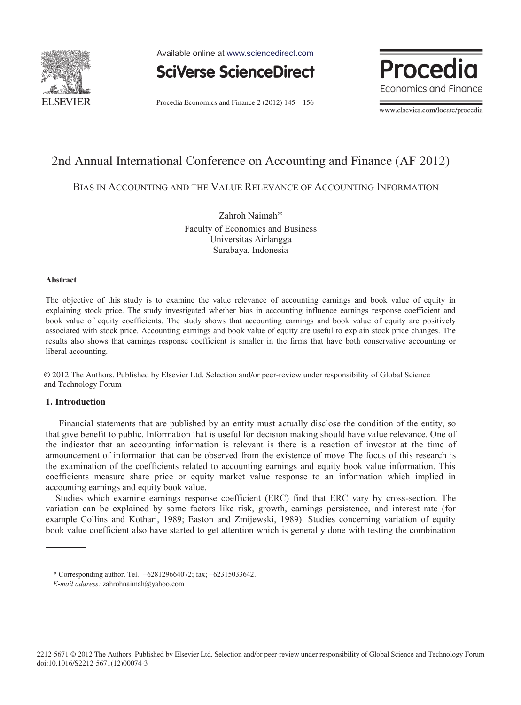

Available online at www.sciencedirect.com



Procedia Economics and Finance 2 (2012) 145 - 156

**Proced** Economics and Finance

www.elsevier.com/locate/procedia

# 2nd Annual International Conference on Accounting and Finance (AF 2012)

BIAS IN ACCOUNTING AND THE VALUE RELEVANCE OF ACCOUNTING INFORMATION

Zahroh Naimah\* Faculty of Economics and Business Universitas Airlangga Surabaya, Indonesia

#### **Abstract**

The objective of this study is to examine the value relevance of accounting earnings and book value of equity in explaining stock price. The study investigated whether bias in accounting influence earnings response coefficient and book value of equity coefficients. The study shows that accounting earnings and book value of equity are positively associated with stock price. Accounting earnings and book value of equity are useful to explain stock price changes. The results also shows that earnings response coefficient is smaller in the firms that have both conservative accounting or liberal accounting.

© 2012 The Authors. Published by Elsevier Ltd. Selection and/or peer-review under responsibility of Global Science and Technology Forum

### **1. Introduction**

Financial statements that are published by an entity must actually disclose the condition of the entity, so that give benefit to public. Information that is useful for decision making should have value relevance. One of the indicator that an accounting information is relevant is there is a reaction of investor at the time of announcement of information that can be observed from the existence of move The focus of this research is the examination of the coefficients related to accounting earnings and equity book value information. This coefficients measure share price or equity market value response to an information which implied in accounting earnings and equity book value.

Studies which examine earnings response coefficient (ERC) find that ERC vary by cross-section. The variation can be explained by some factors like risk, growth, earnings persistence, and interest rate (for example Collins and Kothari, 1989; Easton and Zmijewski, 1989). Studies concerning variation of equity book value coefficient also have started to get attention which is generally done with testing the combination

<sup>\*</sup> Corresponding author. Tel.: +628129664072; fax; +62315033642.

*E-mail address:* zahrohnaimah@yahoo.com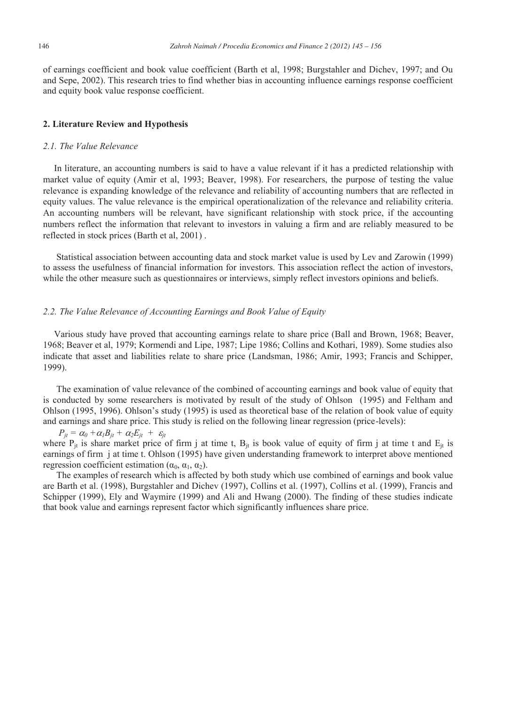of earnings coefficient and book value coefficient (Barth et al, 1998; Burgstahler and Dichev, 1997; and Ou and Sepe, 2002). This research tries to find whether bias in accounting influence earnings response coefficient and equity book value response coefficient.

#### **2. Literature Review and Hypothesis**

#### *2.1. The Value Relevance*

In literature, an accounting numbers is said to have a value relevant if it has a predicted relationship with market value of equity (Amir et al, 1993; Beaver, 1998). For researchers, the purpose of testing the value relevance is expanding knowledge of the relevance and reliability of accounting numbers that are reflected in equity values. The value relevance is the empirical operationalization of the relevance and reliability criteria. An accounting numbers will be relevant, have significant relationship with stock price, if the accounting numbers reflect the information that relevant to investors in valuing a firm and are reliably measured to be reflected in stock prices (Barth et al, 2001) .

Statistical association between accounting data and stock market value is used by Lev and Zarowin (1999) to assess the usefulness of financial information for investors. This association reflect the action of investors, while the other measure such as questionnaires or interviews, simply reflect investors opinions and beliefs.

## *2.2. The Value Relevance of Accounting Earnings and Book Value of Equity*

Various study have proved that accounting earnings relate to share price (Ball and Brown, 1968; Beaver, 1968; Beaver et al, 1979; Kormendi and Lipe, 1987; Lipe 1986; Collins and Kothari, 1989). Some studies also indicate that asset and liabilities relate to share price (Landsman, 1986; Amir, 1993; Francis and Schipper, 1999).

The examination of value relevance of the combined of accounting earnings and book value of equity that is conducted by some researchers is motivated by result of the study of Ohlson (1995) and Feltham and Ohlson (1995, 1996). Ohlson's study (1995) is used as theoretical base of the relation of book value of equity and earnings and share price. This study is relied on the following linear regression (price-levels):

 $P_{it} = \alpha_0 + \alpha_1 B_{it} + \alpha_2 E_{it} + \varepsilon_1$ where  $P_{it}$  is share market price of firm j at time t,  $B_{it}$  is book value of equity of firm j at time t and  $E_{jt}$  is earnings of firm j at time t. Ohlson (1995) have given understanding framework to interpret above mentioned regression coefficient estimation  $(\alpha_0, \alpha_1, \alpha_2)$ .

The examples of research which is affected by both study which use combined of earnings and book value are Barth et al. (1998), Burgstahler and Dichev (1997), Collins et al. (1997), Collins et al. (1999), Francis and Schipper (1999), Ely and Waymire (1999) and Ali and Hwang (2000). The finding of these studies indicate that book value and earnings represent factor which significantly influences share price.